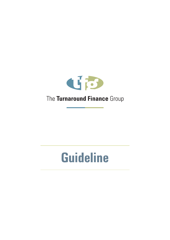

# **Guideline**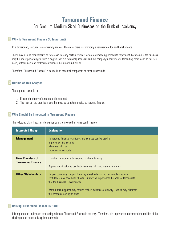## **Turnaround Finance**

For Small to Medium Sized Businesses on the Brink of Insolvency

#### **Why Is Turnaround Finance So Important?**

In a turnaround, resources are extremely scarce. Therefore, there is commonly a requirement for additional finance.

There may also be requirements to raise cash to repay certain creditors who are demanding immediate repayment. For example, the business may be under performing to such a degree that it is potentially insolvent and the company's bankers are demanding repayment. In this scenario, without new and replacement finance the turnaround will fail.

Therefore, "Turnaround Finance" is normally an essential component of most turnarounds.

## **Outline of This Chapter**

The approach taken is to

- 1. Explain the theory of turnaround finance, and
- 2. Then set out the practical steps that need to be taken to raise turnaround finance.

#### **Who Should Be Interested in Turnaround Finance**

The following chart illustrates the parties who are involved in Turnaround Finance.

| <b>Interested Group</b>                              | <b>Explanation</b>                                                                                                                                                                                                                                                                                                            |
|------------------------------------------------------|-------------------------------------------------------------------------------------------------------------------------------------------------------------------------------------------------------------------------------------------------------------------------------------------------------------------------------|
| <b>Management</b>                                    | Turnaround Finance techniques and sources can be used to:<br>Improve existing security<br>Minimise risks, or<br>Facilitate an exit route                                                                                                                                                                                      |
| <b>New Providers of</b><br><b>Turnaround Finance</b> | Providing finance in a turnaround is inherently risky.<br>Appropriate structuring can both minimise risks and maximise returns.                                                                                                                                                                                               |
| <b>Other Stakeholders</b>                            | To gain continuing support from key stakeholders - such as suppliers whose<br>confidence may have been shaken - it may be important to be able to demonstrate<br>that the business is well funded.<br>Without this suppliers may require cash in advance of delivery - which may eliminate<br>the company's ability to trade. |

#### **Raising Turnaround Finance is Hard!**

It is important to understand that raising adequate Turnaround Finance is not easy. Therefore, it is important to understand the realities of the challenge, and adopt a disciplined approach.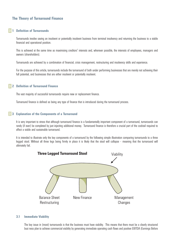## **The Theory of Turnaround Finance**

#### **1 Definition of Turnarounds**

Turnarounds involve saving an insolvent or potentially insolvent business from terminal insolvency and returning the business to a stable financial and operational position.

This is achieved at the same time as maximising creditors' interests and, wherever possible, the interests of employees, managers and owners (shareholders).

Turnarounds are achieved by a combination of financial, crisis management, restructuring and insolvency skills and experience.

For the purpose of this article, turnarounds include the turnaround of both under performing businesses that are merely not achieving their full potential, and businesses that are either insolvent or potentially insolvent.

#### **2 Definition of Turnaround Finance**

The vast majority of successful turnarounds require new or replacement finance.

Turnaround finance is defined as being any type of finance that is introduced during the turnaround process.

#### **3 Explanation of the Components of a Turnaround**

It is very important to stress that although turnaround finance is a fundamentally important component of a turnaround, turnarounds can rarely (if ever) be completed by just injecting additional money. Turnaround finance is therefore a crucial part of the cocktail required to affect a viable and sustainable turnaround.

It is intended to illustrate only the key components of a turnaround by the following simple illustration comparing turnarounds to a three legged stool. Without all three legs being firmly in place it is likely that the stool will collapse - meaning that the turnaround will ultimately fail.



#### **3.1 Immediate Viability**

The key issue in (most) turnarounds is that the business must have viability. This means that there must be a clearly structured busi ness plan to achieve commercial viability by generating immediate operating cash flows and positive EBITDA (Earnings Before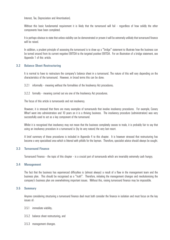Interest, Tax, Depreciation and Amortisation).

Without this basic fundamental requirement it is likely that the turnaround will fail - regardless of how solidly the other components have been completed.

It is perhaps obvious to state that unless viability can be demonstrated or proven it will be extremely unlikely that turnaround finance will be raised.

In addition, a prudent principle of assessing the turnaround is to draw up a "bridge" statement to illustrate how the business can be turned around from its current negative EBITDA to the targeted positive EBITDA. For an illustration of a bridge statement, see Appendix 1 of this article.

#### **3.2 Balance Sheet Restructuring**

It is normal to have to restructure the company's balance sheet in a turnaround. The nature of this will vary depending on the characteristics of the turnaround. However, in broad terms this can be done:

3.2.1 informally - meaning without the formalities of the Insolvency Act procedures;

3.2.2 formally - meaning carried out via one of the Insolvency Act procedures.

The focus of this article is turnarounds and not insolvency.

However, it is stressed that there are many examples of turnarounds that involve insolvency procedures. For example, Canary Wharf went into administration and 10 years on it is a thriving business. The insolvency procedure (administration) was very successfully used to act as a key component of the turnaround.

Whilst it is recognised that insolvency may not mean that the business completely ceases to trade, it is probably fair to say that using an insolvency procedure in a turnaround is (by its very nature) the very last resort.

A brief summary of these procedures is included in Appendix 4 to this chapter. It is however stressed that restructuring has become a very specialised area which is littered with pitfalls for the layman. Therefore, specialist advice should always be sought.

#### **3.3 Turnaround Finance**

Turnaround Finance - the topic of this chapter - is a crucial part of turnarounds which are invariably extremely cash hungry.

#### **3.4 Management**

The fact that the business has experienced difficulties is (almost always) a result of a flaw in the management team and the business plan. This should be recognised as a "truth". Therefore, initiating the management changes and revolutionising the company's business plan are overwhelming important issues. Without this, raising turnaround finance may be impossible.

#### **3.5 Summary**

Anyone considering structuring a turnaround finance deal must both consider the finance in isolation and must focus on the key issues of:

- 3.5.1 immediate viability;
- 3.5.2 balance sheet restructuring; and
- 3.5.3 management changes.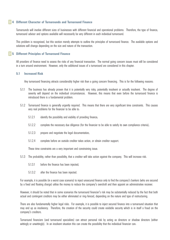#### **4 Different Character of Turnarounds and Turnaround Finance**

Turnarounds will involve different sizes of businesses with different financial and operational problems. Therefore, the type of finance; turnaround advisor and options available will necessarily be very different in each individual turnaround.

This problem is recognised, but this section merely attempts to outline the principles of turnaround finance. The available options and solutions will change depending on the size and nature of the transaction.

#### **5 Different Principles of Turnaround Finance**

All providers of finance need to assess the risks of any financial transaction. The normal going concern issues must still be considered in a turn around environment. However, only the additional issues of a turnaround are considered in this chapter.

#### **5.1 Increased Risk**

Any turnaround financing attracts considerably higher risk than a going concern financing. This is for the following reasons:

- 5.1.1 The business has already proven that it is potentially very risky, potentially insolvent or actually insolvent. The degree of severity will depend on the individual circumstances. However, this means that even before the turnaround finance is introduced there is a fundamental problem.
- 5.1.2 Turnaround finance is generally urgently required. This means that there are very significant time constraints. This causes very real problems for the financier to be able to:
	- 5.1.2.1 identify the possibility and viability of providing finance;
	- 5.1.2.2 complete the necessary due diligence (for the financier to be able to satisfy its own compliance criteria);
	- 5.1.2.3 prepare and negotiate the legal documentation;
	- 5.1.2.4 complete before an outside creditor takes action, or obtain creditor support.

These time constraints are a very important and constraining issue.

- 5.1.3 The probability, rather than possibility, that a creditor will take action against the company. This will increase risk:
	- 5.1.3.1 before the finance has been injected;
	- 5.1.3.2 after the finance has been injected.

For example, it is possible (in a worst case scenario) to inject unsecured finance only to find the company's bankers (who are secured by a fixed and floating charge) utilise the money to reduce the company's overdraft and then appoint an administrative receiver.

However, it should be noted that in some scenarios the turnaround financier's risk may be substantially reduced by the fact that both actual and contingent creditors may be either eliminated or ring-fenced, depending on the nature and type of restructuring.

There are also fundamentally higher legal risks. For example, it is possible to inject secured finance into a turnaround situation that may end up as insolvency. Therefore, the creation of the security could create voidable security which is in itself a fraud on the company's creditors.

Turnaround financiers (and turnaround specialists) can attract personal risk by acting as directors or shadow directors (either wittingly or unwittingly). In an insolvent situation this can create the possibility that the individual financier can: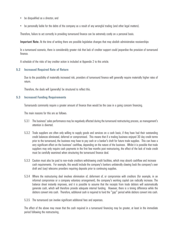- be disqualified as a director; and
- be personally liable for the debts of the company as a result of any wrongful trading (and other legal matters).

Therefore, failure to act correctly in providing turnaround finance can be extremely costly on a personal basis.

Important Note: At the time of writing there are possible legislative changes that may abolish administrative receiverships

In a turnaround scenario, there is considerably greater risk that lack of creditor support could jeopardise the provision of turnaround finance.

A schedule of the risks of key creditor action is included at Appendix 2 to this article.

#### **5.2 Increased Required Rate of Return**

Due to the possibility of materially increased risk, providers of turnaround finance will generally require materially higher rates of return.

Therefore, the deals will (generally) be structured to reflect this.

#### **5.3 Increased Funding Requirements**

Turnarounds commonly require a greater amount of finance than would be the case in a going concern financing.

The main reasons for this are as follows:

- 5.3.1 The business' sales performance may be negatively affected during the turnaround restructuring process, as management's attention is diverted.
- 5.3.2 Trade suppliers are often only willing to supply goods and services on a cash basis, if they have had their outstanding credit balances eliminated, deferred or compromised. This means that if a trading business enjoyed 30 day credit terms prior to the turnaround; the business may have to pay cash or a banker's draft for future trade supplies. This can have a very significant effect on the business' cashflow, depending on the nature of the business. Whilst it is possible that trade suppliers may only require cash payments in the first few months post restructuring, the effect of the lack of trade credit must be carefully examined when structuring the turnaround finance deal.
- 5.3.3 Caution must also be paid to non-trade creditors withdrawing credit facilities, which may absorb cashflow and increase cash requirements. For example, this would include the company's bankers unilaterally clawing back the company's over draft and (say) telecoms providers requiring deposits prior to continuing supplies.
- 5.3.4 Where the restructuring deal involves elimination of, deferment of, or compromise with creditors (for example, in an informal compromise or a company voluntary arrangement), the company's working capital can radically increase. The balance sheet instantly improves, and it is possible to assume that the receipts from trade debtors will automatically generate cash, which will therefore provide adequate internal funding. However, there is a timing difference while the debtors convert into cash. Therefore, additional cash is required to fund the "gap" period while debtors convert into cash.
- 5.3.5 The turnaround can involve significant additional fees and expenses.

The effect of the above may mean that the cash required in a turnaround financing may be greater, at least in the immediate period following the restructuring.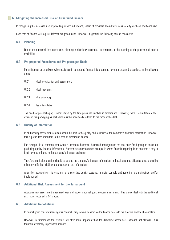#### **6 Mitigating the Increased Risk of Turnaround Finance**

In recognising the increased risk of providing turnaround finance, specialist providers should take steps to mitigate these additional risks.

Each type of finance will require different mitigation steps. However, in general the following can be considered.

#### **6.1 Planning**

Due to the abnormal time constraints, planning is absolutely essential. In particular, in the planning of the process and people availability.

#### **6.2 Pre-prepared Procedures and Pre-packaged Deals**

For a financier or an advisor who specialises in turnaround finance it is prudent to have pre-prepared procedures in the following areas:

- 6.2.1 deal investigation and assessment;
- 6.2.2 deal structures;
- 6.2.3 due diligence;
- 6.2.4 legal templates.

The need for pre-packaging is necessitated by the time pressures involved in turnarounds. However, there is a limitation to the extent of pre-packaging as each deal must be specifically tailored to the facts of the deal.

#### **6.3 Quality of Information**

In all financing transactions caution should be paid to the quality and reliability of the company's financial information. However, this is particularly important in the case of turnaround finance.

For example, it is common that when a company becomes distressed management are too busy fire-fighting to focus on producing quality financial information. Another extremely common example is where financial reporting is so poor that it may in itself have contributed to the company's financial problems.

Therefore, particular attention should be paid to the company's financial information, and additional due diligence steps should be taken to verify the reliability and accuracy of the information.

After the restructuring it is essential to ensure that quality systems, financial controls and reporting are maintained and/or implemented.

#### **6.4 Additional Risk Assessment for the Turnaround**

Additional risk assessment is required over and above a normal going concern investment. This should deal with the additional risk factors outlined at 5.1 above.

#### **6.5 Additional Negotiations**

In normal going concern financing it is "normal" only to have to negotiate the finance deal with the directors and the shareholders.

However, in turnarounds the creditors are often more important than the directors/shareholders (although not always). It is therefore extremely important to identify: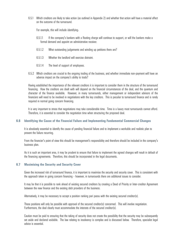6.5.1 Which creditors are likely to take action (as outlined in Appendix 2) and whether that action will have a material affect on the outcome of the turnaround.

For example, this will include identifying:

- 6.5.1.1 If the company's bankers with a floating charge will continue to support, or will the bankers make a formal demand and appoint an administrative receiver.
- 6.5.1.2 What outstanding judgements and winding up petitions there are?
- 6.5.1.3 Whether the landlord will exercise distraint.
- 6.5.1.4 The level of support of employees.
- 6.5.2 Which creditors are crucial to the ongoing trading of the business, and whether immediate non-payment will have an adverse impact on the company's ability to trade?

Having established the importance of the relevant creditors it is important to consider them in the structure of the turnaround financing. How the creditors are dealt with will depend on the financial circumstances of the deal, and the quantum and character of the finance available. However, in many turnarounds, either management or independent advisors of the financiers will need to be involved in negotiations with the key creditors. This is peculiar to turnaround finance and is rarely required in normal going concern financing.

It is very important to stress that negotiations may take considerable time. Time is a luxury most turnarounds cannot afford. Therefore, it is essential to consider the negotiation time when structuring the proposed deal.

#### **6.6 Identifying the Cause of the Financial Failure and Implementing Fundamental Commercial Changes**

It is absolutely essential to identify the cause of pending financial failure and to implement a workable and realistic plan to prevent the failure recurring.

From the financier's point of view this should be management's responsibility and therefore should be included in the company's business plan.

As it is such an important area, it may be prudent to ensure that failure to implement the agreed changes will result in default of the financing agreements. Therefore, this should be incorporated in the legal documents.

#### **6.7 Maximising the Security and Security Cover**

Given the increased risk of turnaround finance, it is important to maximise the security and security cover. This is consistent with the approach taken in going concern financing - however, in turnarounds there are additional issues to consider.

It may be that it is possible to rank ahead of existing secured creditors by creating a Deed of Priority or Inter-creditor Agreement between the new finance and the existing debt providers of the business.

Alternatively, it may be necessary to accept a position ranking pari passu with the existing secured creditor(s).

These positions will only be possible with approval of the secured creditor(s) concerned. This will involve negotiation. Furthermore, the deal clearly must accommodate the interests of the secured creditor(s).

Caution must be paid to ensuring that the taking of security does not create the possibility that the security may be subsequently set aside and declared voidable. The law relating to insolvency is complex and is discussed below. Therefore, specialist legal advice is essential.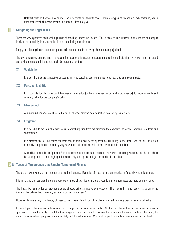Different types of finance may be more able to create full security cover. There are types of finance e.g. debt factoring, which offer security which normal traditional financing does not give.

#### **7 Mitigating the Legal Risks**

There are very significant additional legal risks of providing turnaround finance. This is because in a turnaround situation the company is insolvent or potentially insolvent at the time of introducing new finance.

Simply put, the legislation attempts to protect existing creditors from having their interests prejudiced.

The law is extremely complex and it is outside the scope of this chapter to address the detail of the legislation. However, there are broad areas where turnaround financiers should be extremely cautious.

#### **7.1 Voidability**

It is possible that the transaction or security may be voidable, causing monies to be repaid to an insolvent state.

#### **7.2 Personal Liability**

It is possible for the turnaround financier as a director (or being deemed to be a shadow director) to become jointly and severally liable for the company's debts.

#### **7.3 Misconduct**

A turnaround financier could, as a director or shadow director, be disqualified from acting as a director.

#### **7.4 Litigation**

It is possible to act in such a way so as to attract litigation from the directors, the company and/or the company's creditors and shareholders.

It is stressed that all the above concerns can be minimised by the appropriate structuring of the deal. Nevertheless, this is an extremely complex and potentially very risky area and specialist professional advice should be taken.

A checklist is included in Appendix 3 to this chapter, of the issues to consider. However, it is strongly emphasised that the check list is simplified, so as to highlight the issues only, and specialist legal advice should be taken.

#### **8 Types of Turnarounds that Require Turnaround Finance**

There are a wide variety of turnarounds that require financing. Examples of these have been included in Appendix 4 to this chapter.

It is important to stress that there are a very wide variety of techniques and the appendix only demonstrates the more common ones.

The illustrative list includes turnarounds that are affected using an insolvency procedure. This may strike some readers as surprising as they may be believe that insolvency equates with "corporate death".

However, there is a very long history of great business being bought out of insolvency and subsequently creating substantial value.

In recent years the insolvency legislation has changed to facilitate turnarounds. So too has the culture of banks and insolvency specialists. It could be validly argued that this change has been too limited. However, the rescue and turnaround culture is becoming far more sophisticated and progressive and it is likely that this will continue. We should expect very radical developments in this field.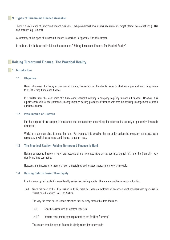#### **9 Types of Turnaround Finance Available**

There is a wide range of turnaround finance available. Each provider will have its own requirements, target internal rates of returns (IRRs) and security requirements.

A summary of the types of turnaround finance is attached in Appendix 5 to this chapter.

In addition, this is discussed in full on the section on "Raising Turnaround Finance: The Practical Reality".

## **Raising Turnaround Finance: The Practical Reality**

#### **1 Introduction**

#### **1.1 Objective**

Having discussed the theory of turnaround finance, the section of this chapter aims to illustrate a practical work programme to assist raising turnaround finance.

It is written from the view point of a turnaround specialist advising a company requiring turnaround finance. However, it is equally applicable for the company's management or existing providers of finance who may be assisting management to obtain additional finance.

#### **1.2 Presumption of Distress**

For the purpose of this chapter, it is assumed that the company undertaking the turnaround is actually or potentially financially distressed.

Whilst it is common place it is not the rule. For example, it is possible that an under performing company has excess cash resources, in which case turnaround finance is not an issue.

#### **1.3 The Practical Reality: Raising Turnaround Finance is Hard**

Raising turnaround finance is very hard because of the increased risks as set out in paragraph 5.1., and the (normally) very significant time constraints.

However, it is important to stress that with a disciplined and focused approach it is very achievable.

#### **1.4 Raising Debt is Easier Than Equity**

In a turnaround; raising debt is considerably easier than raising equity. There are a number of reasons for this.

1.4.1 Since the peak of the UK recession in 1992, there has been an explosion of secondary debt providers who specialise in "asset based lending" (ABL) to SME's.

The way the asset based lenders structure their security means that they focus on:

- 1.4.1.1 Specific assets such as debtors, stock etc
- 1.4.1.2 Interest cover rather than repayment as the facilities "revolve".

This means that this type of finance is ideally suited for turnarounds.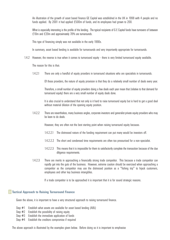An illustration of the growth of asset based finance GE Capital was established in the UK in 1998 with 4 people and no funds applied. By 2001 it had applied £500m of funds, and its employees had grown to 200.

What is especially interesting is the profile of the lending. The typical recipients of G E Capital funds have turnovers of between £10m and £20m and approximately 70% are turnarounds.

This type of financing simply was not available in the early 1990s.

In summary, asset based lending is available for turnarounds and very importantly appropriate for turnarounds.

1.4.2 However, the reverse is true when it comes to turnaround equity - there is very limited turnaround equity available.

The reason for this is that:

1.4.2.1 There are only a handful of equity providers in turnaround situations who are specialists in turnarounds.

Of these providers, the nature of equity provision is that they do a relatively small number of deals every year.

Therefore, a small number of equity providers doing a few deals each year mean that (relative to that demand for turnaround equity) there are a very small number of equity deals done.

It is also crucial to understand that not only is it hard to raise turnaround equity but is hard to get a good deal without material dilution of the opening equity position.

1.4.2.2 There are nevertheless, many business angles, corporate investors and generalist private equity providers who may be keen to do deals.

However, they are often not the best starting point when raising turnaround equity because:

- 1.4.2.2.1 The distressed nature of the funding requirement can put many would be investors off.
- 1.4.2.2.2 The short and condensed time requirements are often too pressurised for a non-specialist.
- 1.4.2.2.3 This means that it is impossible for them to satisfactorily complete the transaction because of the due diligence requirements.
- 1.4.2.3 There are merits in approaching a financially strong trade competitor. This because a trade competitor can rapidly get into the guts of the business. However, extreme caution should be exercised when approaching a competitor as the competitor may use the distressed position as a "fishing trip" to hijack customers, employees and other key business intangibles.

If a trade competitor is to be approached it is important that it is for sound strategic reasons.

#### **Tactical Approach to Raising Turnaround Finance**

Given the above, it is important to have a very structured approach to raising turnaround finance.

- Step #1 Establish what assets are available for asset based lending (ABL)
- Step  $#2$  Establish the possibility of raising equity
- Step #3 Establish the immediate application of funds
- Step #4 Establish the creditors compromise if required

The above approach is illustrated by the examples given below. Before doing so it is important to emphasise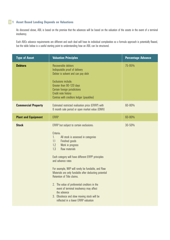## **1 Asset Based Lending Depends on Valuations**

As discussed above, ABL is based on the premise that the advances will be based on the valuation of the assets in the event of a terminal insolvency.

Each ABL's advance requirements are different and each deal will have its individual complexities so a formula approach is potentially flawed, but the table below is a useful starting point to understanding how an ABL can be structured.

| <b>Type of Asset</b>       | <b>Valuation Principles</b>                                                                                                                                                                                                                                                                                                                                                                                                                                                                                                                                                                         | <b>Percentage Advance</b> |
|----------------------------|-----------------------------------------------------------------------------------------------------------------------------------------------------------------------------------------------------------------------------------------------------------------------------------------------------------------------------------------------------------------------------------------------------------------------------------------------------------------------------------------------------------------------------------------------------------------------------------------------------|---------------------------|
| <b>Debtors</b>             | Recoverable debtors<br>Indisputable proof of delivery<br>Debtor is solvent and can pay debt<br>Exclusions include:<br>Greater than 90-120 days<br>Certain foreign jurisdictions<br>Credit note history<br>Contras with creditors ledger (payables)                                                                                                                                                                                                                                                                                                                                                  | 75-95%                    |
| <b>Commercial Property</b> | Estimated restricted realisation price (ERRP) with<br>6 month sale period or open market value (OMV)                                                                                                                                                                                                                                                                                                                                                                                                                                                                                                | 60-80%                    |
| <b>Plant and Equipment</b> | <b>ERRP</b>                                                                                                                                                                                                                                                                                                                                                                                                                                                                                                                                                                                         | 60-80%                    |
| <b>Stock</b>               | ERRP but subject to certain exclusions:<br>Criteria:<br>All stock is assessed in categories<br>1.<br>1.1<br>Finished goods<br>Work in progress<br>1.2<br>Raw materials<br>1.3<br>Each category will have different ERPP principles<br>and advance rates<br>For example, WIP will rarely be fundable, and Raw<br>Materials are only fundable after deducting potential<br>Retention of Title claims.<br>2. The value of preferential creditors in the<br>event of terminal insolvency may affect<br>the advance<br>3. Obsolesce and slow moving stock will be<br>reflected in a lower ERRP valuation | 30-50%                    |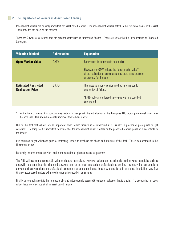## **2 The Importance of Valuers in Asset Based Lending**

Independent valuers are crucially important for asset based lenders. The independent valuers establish the realisable value of the asset - this provides the basis of the advance.

There are 2 types of valuations that are predominantly used in turnaround finance. These are set out by the Royal Institute of Chartered Surveyors.

| <b>Valuation Method</b>                                 | <b>Abbreviation</b> | <b>Explanation</b>                                                                                                                                                                     |
|---------------------------------------------------------|---------------------|----------------------------------------------------------------------------------------------------------------------------------------------------------------------------------------|
| <b>Open Market Value</b>                                | 0.M.V.              | Rarely used in turnarounds due to risk.<br>However, the OMV reflects the "open market value"<br>of the realisation of assets assuming there is no pressure<br>or urgency for the sale. |
| <b>Estimated Restricted</b><br><b>Realisation Price</b> | E.R.R.P             | The most common valuation method in turnarounds<br>due to risk of failure.<br>*ERRP reflects the forced sale value within a specified<br>time period.                                  |

At the time of writing, this position may materially change with the introduction of the Enterprise Bill, crown preferential status may be abolished. This should materially improve stock advance levels

Due to the fact that valuers are so important when raising finance in a turnaround it is (usually) a procedural prerequisite to get valuations. In doing so it is important to ensure that the independent valuer is either on the proposed lenders panel or is acceptable to the lender.

It is common to get valuations prior to contacting lenders to establish the shape and structure of the deal. This is demonstrated in the illustration below.

For clarity, valuers should only be used in the valuation of physical assets or property.

The ABL will assess the recoverable value of debtors themselves. However, valuers are occasionally used to value intangibles such as goodwill. It is submitted that chartered surveyors are not the most appropriate professionals to do this. Invariably the best people to provide business valuations are professional accountants or corporate finance houses who specialise in this area. In addition, very few (if any) asset based lenders will provide funds using goodwill as security.

Finally, to re-emphasise it is the (professionally and independently assessed) realisation valuation that is crucial. The accounting net book values have no relevance at all in asset based funding.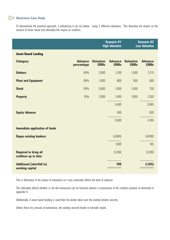## **3 Illustrative Case Study**

To demonstrate the practical approach, a refinancing is set out below - using 2 different valuations. This illustrates the impact on the amount of funds raised and ultimately the impact on creditors.

|                                                      |                              | <b>Scenario #1</b><br><b>High Valuation</b> |                                | <b>Scenario #2</b><br><b>Low Valuation</b> |                                |
|------------------------------------------------------|------------------------------|---------------------------------------------|--------------------------------|--------------------------------------------|--------------------------------|
| <b>Asset Based Lending</b>                           |                              |                                             |                                |                                            |                                |
| <b>Category</b>                                      | <b>Advance</b><br>percentage | <b>Valuation</b><br>£000s                   | <b>Advance</b><br><b>£000s</b> | <b>Valuation</b><br>£000s                  | <b>Advance</b><br><b>£000s</b> |
| <b>Debtors</b>                                       | 85%                          | 2,000                                       | 1,700                          | 1,500                                      | 1,275                          |
| <b>Plant and Equipment</b>                           | 80%                          | 1,000                                       | 800                            | 500                                        | 400                            |
| <b>Stock</b>                                         | 50%                          | 3,000                                       | 1,500                          | 1,500                                      | 750                            |
| <b>Property</b>                                      | 70%                          | 2,000                                       | 1,400                          | 1,800                                      | 1,260                          |
|                                                      |                              |                                             | 5,400                          |                                            | 3,685                          |
| <b>Equity Advance</b>                                |                              |                                             | 500                            |                                            | 500                            |
|                                                      |                              |                                             | 5,900                          |                                            | 4,185                          |
| <b>Immediate application of funds</b>                |                              |                                             |                                |                                            |                                |
| <b>Repay existing bankers</b>                        |                              |                                             | (4,000)                        |                                            | (4,000)                        |
|                                                      |                              |                                             | 1,900                          |                                            | 185                            |
| <b>Required to bring all</b><br>creditors up to date |                              |                                             | (1, 200)                       |                                            | (1, 200)                       |
| Additional/[shortfall in]<br>working capital         |                              |                                             | 700                            |                                            | (1, 015)                       |

This is illustrative of the impact of valuations as it very materially affects the level of advance.

This ultimately affects whether or not the turnaround can be financed without a compromise of the creditors position as illustrated in appendix 4.

Additionally, if asset based lending is used then the lender takes over the existing lenders security.

Unless there are unusual circumstances, the existing secured lender is normally repaid.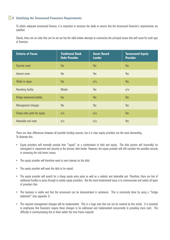## **4 Satisfying the Turnaround Financiers Requirements**

To obtain adequate turnaround finance, it is important to structure the deals to ensure that the turnaround financier's requirements are satisfied.

Clearly, there are no rules that can be set out but the table below attempts to summarise the principal issues that will count for each type of financier.

| <b>Criteria of Focus</b>     | <b>Traditional Bank</b><br><b>Debt Provider</b> | <b>Asset Based</b><br><b>Lender</b> | <b>Turnaround Equity</b><br><b>Provider</b> |
|------------------------------|-------------------------------------------------|-------------------------------------|---------------------------------------------|
| Security cover               | Yes                                             | Yes                                 | Yes                                         |
| Interest cover               | Yes                                             | Yes                                 | Yes                                         |
| Ability to repay             | Yes                                             | n/a                                 | Yes                                         |
| Revolving facility           | Maybe                                           | Yes                                 | n/a                                         |
| Bridge statement/viability   | Yes                                             | Yes                                 | Yes                                         |
| Management changes           | Yes                                             | Yes                                 | Yes                                         |
| Cheap entry point for equity | n/a                                             | n/a                                 | Yes                                         |
| Attainable exit route        | n/a                                             | n/a                                 | Yes                                         |

There are clear differences between all possible funding sources, but it is clear equity providers are the most demanding. To illustrate this:

- Equity providers will normally provide their "equity" as a combination of debt and equity. The debt portion will (normally) be subrogated in repayment and security to the primary debt lender. However, the equity provider will still consider the possible security in assessing the risk/return issues.
- The equity provider will therefore want to earn interest on the debt.
- The equity provider will want the debt to be repaid.
- The equity provider will search for a cheap equity entry point as well as a realistic and attainable exit. Therefore, there are lots of additional hurdles to jump through to satisfy equity providers. But the most fundamental issue is to communicate and satisfy all types of providers that:
- The business is viable and that the turnaround can be demonstrated in substance. This is commonly done by using a "bridge statement" (see appendix 1).
- The required management changes will be implemented. This is a huge area that can not be covered by this article. It is essential to emphasise that financiers require these changes to be addressed and implemented concurrently to providing more cash. The difficulty is communicating this to them within the time frame required.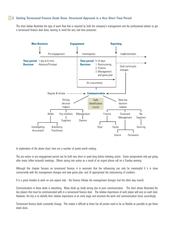## **5 Getting Turnaround Finance Deals Done: Structured Approach in a Very Short Time Period**

The chart below illustrates the type of work flow that is required by both the company's management and the professional advisor to get a turnaround finance deal done, bearing in mind the very real time pressures.



In explanation of the above chart, here are a number of points worth making.

The pre-action or pre-engagement period can be both very short or quite long before initiating action. Some assignments only get going after many (often tortured) meetings. Others spring into action as a result of an urgent phone call on a Sunday evening.

Although this chapter focuses on turnaround finance, it is axiomatic that the refinancing can only be meaningful if it is done concurrently with the management changes and new game plan, and (if appropriate) the restructuring of creditors.

It is a great mistake to work on one aspect only - the finance follows the management changes (not the other way round).

Communication in these deals is everything. Many deals go badly wrong due to poor communication. The chart above illustrated the key players that must be communicated with in a turnaround finance deal. The relative importance of each player will vary on each deal. However, the key is to identify their relative importance at an early stage and structure the work and communication focus accordingly.

Turnaround finance deals constantly change. This makes it difficult at times but all parties need to be as flexible as possible to get these deals done.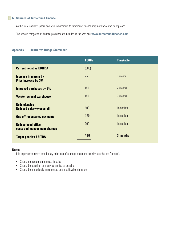## **6 Sources of Turnaround Finance**

As this is a relatively specialised area, newcomers to turnaround finance may not know who to approach.

The various categories of finance providers are included in the web-site **www.turnaroundfinance.com**

#### **Appendix 1 - Illustrative Bridge Statement**

|                                                           | £000s | <b>Timetable</b> |
|-----------------------------------------------------------|-------|------------------|
| <b>Current negative EBITDA</b>                            | (600) |                  |
| Increase in margin by<br>Price increase by 3%             | 250   | 1 month          |
| <b>Improved purchases by 2%</b>                           | 150   | 2 months         |
| <b>Vacate regional warehouse</b>                          | 150   | 3 months         |
| <b>Redundancies</b><br>Reduced salary/wages bill          | 400   | Immediate        |
| One off redundancy payments                               | (120) | Immediate        |
| <b>Reduce head office</b><br>costs and management charges | 200   | Immediate        |
| <b>Target positive EBITDA</b>                             | 430   | 3 months         |

#### **Notes**

It is important to stress that the key principles of a bridge statement (usually) are that the "bridge":

- Should not require an increase in sales
- Should be based on as many certainties as possible
- Should be immediately implemented on an achievable timetable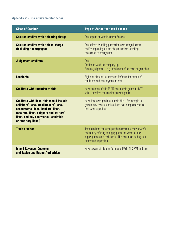## **Appendix 2 - Risk of key creditor action**

| <b>Class of Creditor</b>                                                                                                                                                                                                                       | <b>Type of Action that can be taken</b>                                                                                                                                                                      |
|------------------------------------------------------------------------------------------------------------------------------------------------------------------------------------------------------------------------------------------------|--------------------------------------------------------------------------------------------------------------------------------------------------------------------------------------------------------------|
| <b>Secured creditor with a floating charge</b>                                                                                                                                                                                                 | Can appoint an Administrative Receiver.                                                                                                                                                                      |
| <b>Secured creditor with a fixed charge</b><br>(including a mortgagee)                                                                                                                                                                         | Can enforce by taking possession over charged assets<br>and/or appointing a fixed charge receiver (or taking<br>possession as mortgagee).                                                                    |
| <b>Judgement creditors</b>                                                                                                                                                                                                                     | Can:<br>Petition to wind the company up<br>Execute judgement - e.g. attachment of an asset or garnishee                                                                                                      |
| <b>Landlords</b>                                                                                                                                                                                                                               | Rights of distraint, re-entry and forfeiture for default of<br>conditions and non-payment of rent.                                                                                                           |
| <b>Creditors with retention of title</b>                                                                                                                                                                                                       | Have retention of title (ROT) over unpaid goods (if ROT<br>valid), therefore can reclaim relevant goods.                                                                                                     |
| <b>Creditors with liens (this would include</b><br>solicitors' liens, stockbrokers' liens,<br>accountants' liens, bankers' liens,<br>repairers' liens, shippers and carriers'<br>liens, and any contractual, equitable<br>or statutory liens.) | Have liens over goods for unpaid bills. For example, a<br>garage may have a repairers liens over a repaired vehicle<br>until work is paid for.                                                               |
| <b>Trade creditor</b>                                                                                                                                                                                                                          | Trade creditors can often put themselves in a very powerful<br>position by refusing to supply goods (at worst) or only<br>supply goods on a cash basis. This can make trading in a<br>turnaround impossible. |
| <b>Inland Revenue, Customs</b><br>and Excise and Rating Authorities                                                                                                                                                                            | Have powers of distraint for unpaid PAYE, NIC, VAT and rate.                                                                                                                                                 |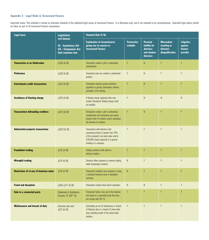## **Appendix 3 - Legal Risks in Turnaround Finance**

Important notice: This schedule is merely an indicative schedule of the additional legal issues of turnaround finance. It is illustrative only, and is not intended to be comprehensive. Specialist legal advice should be taken as part of all turnaround finance transactions.

| <b>Legal Issue</b>                            | <b>Legislation</b>                                                                              | Potential Risk (Y/N)                                                                                                                                                                    |                                |                                                                          |                                                                    |                                                     |
|-----------------------------------------------|-------------------------------------------------------------------------------------------------|-----------------------------------------------------------------------------------------------------------------------------------------------------------------------------------------|--------------------------------|--------------------------------------------------------------------------|--------------------------------------------------------------------|-----------------------------------------------------|
|                                               | (ref below)<br><b>IA - Insolvency Act</b><br><b>CA - Companies Act</b><br><b>And common law</b> | <b>Explanation of circumstances</b><br>giving rise to concern in<br><b>Turnaround Finance</b>                                                                                           | <b>Transaction</b><br>voidable | <b>Personal</b><br>liability for<br>directors<br>and shadow<br>directors | <b>Misconduct</b><br>resulting in<br>directors<br>disqualification | <b>Litigation</b><br>against<br>finance<br>provider |
| <b>Transaction at an Undervalue</b>           | s238 IA 86                                                                                      | Transaction creates a gift or undervalues<br>consideration.                                                                                                                             | Y                              | ${\sf N}$                                                                | Y                                                                  | Y                                                   |
| <b>Preference</b>                             | s239 IA 86                                                                                      | Transaction puts one creditor in preferential<br>position.                                                                                                                              | Y                              | $\mathsf{N}$                                                             | Y                                                                  | Y                                                   |
| <b>Extortionate credit transactions</b>       | s244 IA 86                                                                                      | Transaction requires grossly exorbitant<br>payments or grossly contravenes ordinary<br>principles of fair dealing.                                                                      | Y                              | ${\sf N}$                                                                | Y                                                                  | Y                                                   |
| <b>Avoidance of floating charge</b>           | s245 IA 86                                                                                      | If floating charge registered after new<br>monies introduced, floating charge could<br>be voidable.                                                                                     | Y                              | ${\sf N}$                                                                | $\mathsf{N}$                                                       | N                                                   |
| <b>Transactions defrauding creditors</b>      | s423 IA 86                                                                                      | Transaction creates a gift or undervalues<br>consideration and transaction puts assets<br>beyond reach of creditors and/or prejudices<br>the interests of creditors.                    | Y                              | $\mathsf{N}$                                                             | Y                                                                  | Y                                                   |
| <b>Substantial property transactions</b>      | s320 CA 85                                                                                      | Transactions with directors (and<br>connected parties) of greater than 10%<br>of the company's net asset value and/or<br>£50,000 require approval of a general<br>meeting of a company. | Y                              | Y                                                                        | Y                                                                  | Y                                                   |
| <b>Fraudulent trading</b>                     | s213 IA 86                                                                                      | Trading carried on with intent to<br>defraud creditors.                                                                                                                                 | Y                              | Y                                                                        | Y                                                                  | Y                                                   |
| <b>Wrongful trading</b>                       | s214 IA 86                                                                                      | Directors allow company to continue trading<br>while (knowingly) insolvent.                                                                                                             | ${\sf N}$                      | Y                                                                        | Y                                                                  | Y                                                   |
| <b>Restriction of re-use of business name</b> | s216 IA 86                                                                                      | Transaction facilitates new company re-using<br>a restricted business name of liquidated<br>company.                                                                                    | ${\sf N}$                      | Y                                                                        | Y                                                                  | Y                                                   |
| <b>Fraud and deception</b>                    | s206-s211 IA 86                                                                                 | Transaction creates fraud and/or deception.                                                                                                                                             | ${\sf N}$                      | ${\sf N}$                                                                | Y                                                                  | Y                                                   |
| Sale to a connected party                     | Statement of Insolvency<br>Practice 13 (SIP 13)                                                 | Transaction funds a buy out of the business<br>and assets to a connected party that does<br>not comply with SIP 13.                                                                     | $\overline{?}$                 | $\overline{?}$                                                           | $\overline{?}$                                                     | Y                                                   |
| <b>Misfeasance and breach of duty</b>         | Common law and<br>s212 IA 86                                                                    | Committing an act of misfeasance or breach<br>of fiduciary duty or a breach of some other<br>duty, including breach of the above listed<br>sections.                                    | Y                              | Y                                                                        | Y                                                                  | Y                                                   |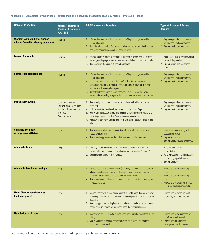## **Appendix 4 - Explanation of the Types of Turnarounds and Insolvency Procedures that may require Turnaround Finance**

| <b>Name of Procedure</b>                                                      | Formal/Informal in<br>terms of Insolvency<br><b>Act 1986</b>                                                       | <b>Brief Explanation of Procedure</b>                                                                                                                                                                                                                                                                                                                                                                                                                                                     | <b>Types of Turnaround Finance</b><br><b>Required</b>                                                                                                                             |
|-------------------------------------------------------------------------------|--------------------------------------------------------------------------------------------------------------------|-------------------------------------------------------------------------------------------------------------------------------------------------------------------------------------------------------------------------------------------------------------------------------------------------------------------------------------------------------------------------------------------------------------------------------------------------------------------------------------------|-----------------------------------------------------------------------------------------------------------------------------------------------------------------------------------|
| <b>Workout with additional finance</b><br>with no formal insolvency procedure | Informal                                                                                                           | 1. Informal deal (usually) with a limited number of key creditors, with additional<br>finance introduced.<br>2. Normally only appropriate if company has short term cash flow difficulties (rather<br>than being technically insolvent) and company viable.                                                                                                                                                                                                                               | 1. Any appropriate finance to provide<br>working and development capital.<br>2. Buy out creditors (usually banks).                                                                |
| <b>London Approach</b>                                                        | Informal                                                                                                           | Informal procedure driven by consensual approach by lenders and senior debt<br>creditors, working together to maximise returns while keeping the company alive.<br>2. Only appropriate for large multi-banked companies.                                                                                                                                                                                                                                                                  | 1. Additional finance to provide working<br>capital during stand still.<br>2. Buy out lenders and senior debt<br>providers.                                                       |
| <b>Contractual compositions</b>                                               | Informal                                                                                                           | 1. Informal deal (usually) with a limited number of key creditors, with additional<br>finance introduced.<br>2. The difference in this scenario is the "deal" with individual creditors is<br>contractually binding as a result of a composition that is drawn up in a legal<br>contract, to which the creditor agrees.<br>3. Normally only appropriate in cases where small number of key high value<br>creditors who are willing to agree to the compromise and support the turnaround. | 1. Any appropriate finance to provide<br>working and development capital.<br>2. Buy out creditors (usually banks)                                                                 |
| <b>Debt/equity swaps</b>                                                      | <b>Commonly informal</b><br>(but can also be included<br>in a formal arrangement<br>in a CVA or<br>Administration) | Deal (usually) with limited number of key creditors, with additional finance<br>introduced.<br>2. In this scenario individual creditors convert their "debt" into "equity".<br>3. Usually only manageable where small number of key high value creditors who<br>are willing to agree to the debt / equity swap and support the turnaround.<br>4. Procedure is commonly used in conjunction with other procedures listed on this<br>schedule.                                              | 1. Any appropriate finance to provide<br>working and development capital.<br>2. Buy out creditors (usually banks).                                                                |
| <b>Company Voluntary</b><br><b>Arrangements (CVAs)</b>                        | Formal                                                                                                             | 1. Deal between insolvent company and its creditors which is supervised by an<br>insolvency practitioner.<br>2. Generally only appropriate for SMEs that have an established business.                                                                                                                                                                                                                                                                                                    | 1. Provide additional working and<br>development capital.<br>2. Buy out secured creditors<br>3. Buy out creditors bound by the CVA                                                |
| <b>Administrations</b>                                                        | Formal                                                                                                             | Company obtains an administration order which creates a moratorium. An<br>Insolvency Practitioner appointed as Administrator to achieve set "purposes".<br>2. Appropriate in a variety of circumstances.                                                                                                                                                                                                                                                                                  | 1. Fund the trading of the<br>administration.<br>2. Fund buy out from the Administrator<br>and working capital of newco.<br>3. Buy out creditors.                                 |
| <b>Administrative Receiverships</b>                                           | Formal                                                                                                             | 1. Secured creditor with a floating charge (commonly a clearing bank) appoints an<br>Administrative Receiver to recover its lendings. The Administrative Receiver<br>administers the company until he recovers the lenders funds.<br>2. Generally only occurs where bank has no other alternative (after considering risk)<br>of recovering funds.                                                                                                                                        | 1. Provide funding for receivership<br>trading.<br>2. Provide funding for receivership<br>buy out,<br>3. Provide funding to buy out secured<br>lender and discharge receivership. |
| <b>Fixed Charge Receiverships</b><br>(and mortgages)                          | Formal                                                                                                             | Secured creditor with a fixed charge appoints a Fixed Charge Receiver to recover<br>its lendings. The Fixed Charge Receiver has limited powers and only controls the<br>charged asset.<br>2. Generally appropriate on simple recoveries where a particular asset can recover<br>lenders exposure. It does not necessarily affect the remaining business.                                                                                                                                  | Provide funding to acquire assets<br>and/or buy out secured creditor.                                                                                                             |
| <b>Liquidations (all types)</b>                                               | Formal                                                                                                             | Company wound up, Liquidator realises assets and distributes realisations in a set<br>priority.<br>2. Generally applies to terminal insolvencies, although in some circumstances<br>appropriate in turnarounds.                                                                                                                                                                                                                                                                           | 1. Provide funding for liquidation buy<br>out of assets and goodwill.<br>2. Provide working capital and<br>development capital for newco.                                         |

Important Note: at the time of writing there are possible legislative changes that may abolish administrative receivership